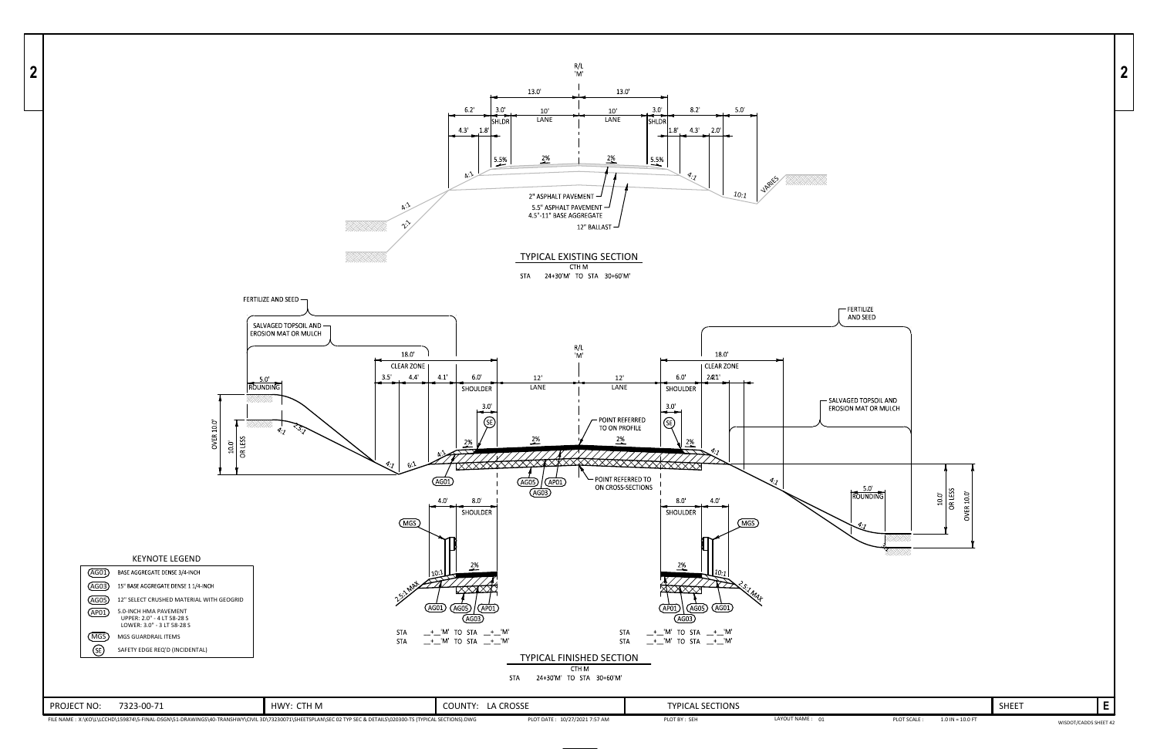

LAYOUT NAME : 01